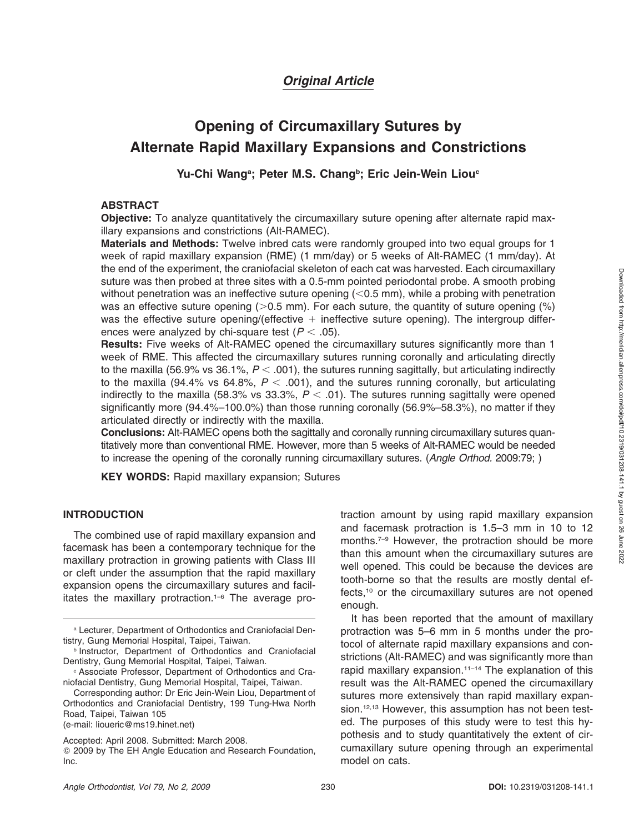## *Original Article*

# **Opening of Circumaxillary Sutures by Alternate Rapid Maxillary Expansions and Constrictions**

### Yu-Chi Wang<sup>a</sup>; Peter M.S. Chang<sup>b</sup>; Eric Jein-Wein Liou<sup>c</sup>

#### **ABSTRACT**

**Objective:** To analyze quantitatively the circumaxillary suture opening after alternate rapid maxillary expansions and constrictions (Alt-RAMEC).

**Materials and Methods:** Twelve inbred cats were randomly grouped into two equal groups for 1 week of rapid maxillary expansion (RME) (1 mm/day) or 5 weeks of Alt-RAMEC (1 mm/day). At the end of the experiment, the craniofacial skeleton of each cat was harvested. Each circumaxillary suture was then probed at three sites with a 0.5-mm pointed periodontal probe. A smooth probing without penetration was an ineffective suture opening  $(<$  0.5 mm), while a probing with penetration was an effective suture opening  $(0.5 \text{ mm})$ . For each suture, the quantity of suture opening  $\frac{\text{m}}{\text{s}}$ was the effective suture opening/(effective  $+$  ineffective suture opening). The intergroup differences were analyzed by chi-square test ( $P < .05$ ).

**Results:** Five weeks of Alt-RAMEC opened the circumaxillary sutures significantly more than 1 week of RME. This affected the circumaxillary sutures running coronally and articulating directly to the maxilla (56.9% vs 36.1%,  $P <$  .001), the sutures running sagittally, but articulating indirectly to the maxilla (94.4% vs 64.8%,  $P <$  .001), and the sutures running coronally, but articulating indirectly to the maxilla (58.3% vs 33.3%,  $P <$  .01). The sutures running sagittally were opened significantly more (94.4%–100.0%) than those running coronally (56.9%–58.3%), no matter if they articulated directly or indirectly with the maxilla.

**Conclusions:** Alt-RAMEC opens both the sagittally and coronally running circumaxillary sutures quantitatively more than conventional RME. However, more than 5 weeks of Alt-RAMEC would be needed to increase the opening of the coronally running circumaxillary sutures. (*Angle Orthod.* 2009:79; )

**KEY WORDS:** Rapid maxillary expansion; Sutures

### **INTRODUCTION**

The combined use of rapid maxillary expansion and facemask has been a contemporary technique for the maxillary protraction in growing patients with Class III or cleft under the assumption that the rapid maxillary expansion opens the circumaxillary sutures and facilitates the maxillary protraction.1–6 The average pro-

(e-mail: lioueric@ms19.hinet.net)

traction amount by using rapid maxillary expansion and facemask protraction is 1.5–3 mm in 10 to 12 months.7–9 However, the protraction should be more than this amount when the circumaxillary sutures are well opened. This could be because the devices are tooth-borne so that the results are mostly dental effects,<sup>10</sup> or the circumaxillary sutures are not opened enough.

It has been reported that the amount of maxillary protraction was 5–6 mm in 5 months under the protocol of alternate rapid maxillary expansions and constrictions (Alt-RAMEC) and was significantly more than rapid maxillary expansion.<sup>11-14</sup> The explanation of this result was the Alt-RAMEC opened the circumaxillary sutures more extensively than rapid maxillary expansion.<sup>12,13</sup> However, this assumption has not been tested. The purposes of this study were to test this hypothesis and to study quantitatively the extent of circumaxillary suture opening through an experimental model on cats.

<sup>a</sup> Lecturer, Department of Orthodontics and Craniofacial Dentistry, Gung Memorial Hospital, Taipei, Taiwan.

**b Instructor, Department of Orthodontics and Craniofacial** Dentistry, Gung Memorial Hospital, Taipei, Taiwan.

<sup>c</sup> Associate Professor, Department of Orthodontics and Craniofacial Dentistry, Gung Memorial Hospital, Taipei, Taiwan.

Corresponding author: Dr Eric Jein-Wein Liou, Department of Orthodontics and Craniofacial Dentistry, 199 Tung-Hwa North Road, Taipei, Taiwan 105

Accepted: April 2008. Submitted: March 2008.

<sup>-</sup> 2009 by The EH Angle Education and Research Foundation, Inc.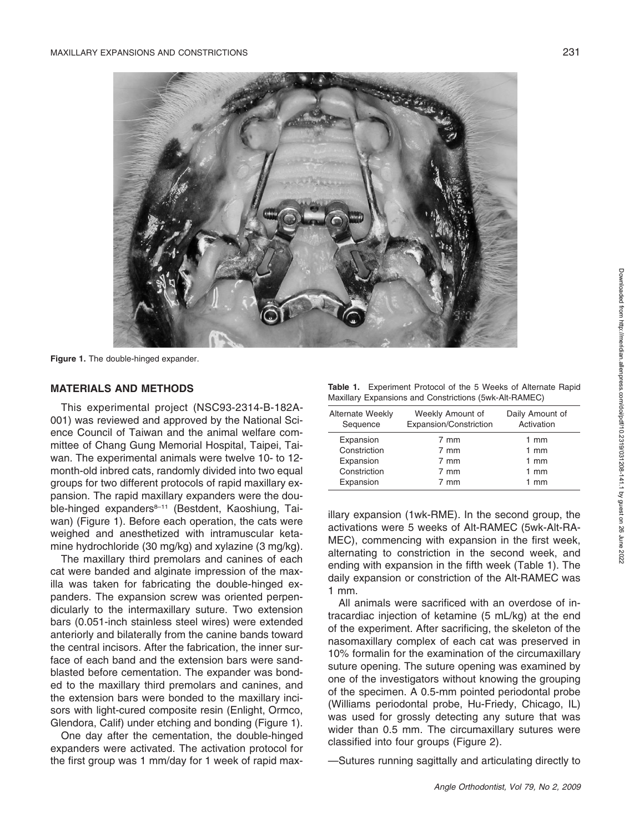

**Figure 1.** The double-hinged expander.

#### **MATERIALS AND METHODS**

This experimental project (NSC93-2314-B-182A-001) was reviewed and approved by the National Science Council of Taiwan and the animal welfare committee of Chang Gung Memorial Hospital, Taipei, Taiwan. The experimental animals were twelve 10- to 12 month-old inbred cats, randomly divided into two equal groups for two different protocols of rapid maxillary expansion. The rapid maxillary expanders were the double-hinged expanders<sup>8-11</sup> (Bestdent, Kaoshiung, Taiwan) (Figure 1). Before each operation, the cats were weighed and anesthetized with intramuscular ketamine hydrochloride (30 mg/kg) and xylazine (3 mg/kg).

The maxillary third premolars and canines of each cat were banded and alginate impression of the maxilla was taken for fabricating the double-hinged expanders. The expansion screw was oriented perpendicularly to the intermaxillary suture. Two extension bars (0.051-inch stainless steel wires) were extended anteriorly and bilaterally from the canine bands toward the central incisors. After the fabrication, the inner surface of each band and the extension bars were sandblasted before cementation. The expander was bonded to the maxillary third premolars and canines, and the extension bars were bonded to the maxillary incisors with light-cured composite resin (Enlight, Ormco, Glendora, Calif) under etching and bonding (Figure 1).

One day after the cementation, the double-hinged expanders were activated. The activation protocol for the first group was 1 mm/day for 1 week of rapid max-

| Table 1. Experiment Protocol of the 5 Weeks of Alternate Rapid |  |  |  |  |
|----------------------------------------------------------------|--|--|--|--|
| Maxillary Expansions and Constrictions (5wk-Alt-RAMEC)         |  |  |  |  |

| <b>Alternate Weekly</b> | Weekly Amount of       | Daily Amount of |
|-------------------------|------------------------|-----------------|
| Sequence                | Expansion/Constriction | Activation      |
| Expansion               | 7 mm                   | $1 \text{ mm}$  |
| Constriction            | 7 mm                   | $1 \text{ mm}$  |
| Expansion               | 7 mm                   | $1 \text{ mm}$  |
| Constriction            | 7 mm                   | $1 \text{ mm}$  |
| Expansion               | 7 mm                   | $1 \text{ mm}$  |

illary expansion (1wk-RME). In the second group, the activations were 5 weeks of Alt-RAMEC (5wk-Alt-RA-MEC), commencing with expansion in the first week, alternating to constriction in the second week, and ending with expansion in the fifth week (Table 1). The daily expansion or constriction of the Alt-RAMEC was 1 mm.

All animals were sacrificed with an overdose of intracardiac injection of ketamine (5 mL/kg) at the end of the experiment. After sacrificing, the skeleton of the nasomaxillary complex of each cat was preserved in 10% formalin for the examination of the circumaxillary suture opening. The suture opening was examined by one of the investigators without knowing the grouping of the specimen. A 0.5-mm pointed periodontal probe (Williams periodontal probe, Hu-Friedy, Chicago, IL) was used for grossly detecting any suture that was wider than 0.5 mm. The circumaxillary sutures were classified into four groups (Figure 2).

—Sutures running sagittally and articulating directly to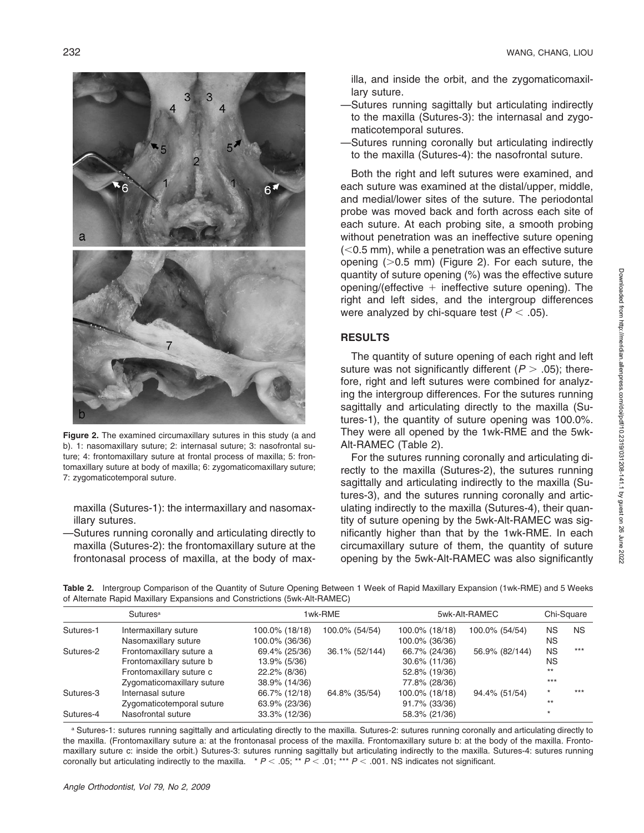

**Figure 2.** The examined circumaxillary sutures in this study (a and b). 1: nasomaxillary suture; 2: internasal suture; 3: nasofrontal suture; 4: frontomaxillary suture at frontal process of maxilla; 5: frontomaxillary suture at body of maxilla; 6: zygomaticomaxillary suture; 7: zygomaticotemporal suture.

maxilla (Sutures-1): the intermaxillary and nasomaxillary sutures.

—Sutures running coronally and articulating directly to maxilla (Sutures-2): the frontomaxillary suture at the frontonasal process of maxilla, at the body of maxilla, and inside the orbit, and the zygomaticomaxillary suture.

- —Sutures running sagittally but articulating indirectly to the maxilla (Sutures-3): the internasal and zygomaticotemporal sutures.
- —Sutures running coronally but articulating indirectly to the maxilla (Sutures-4): the nasofrontal suture.

Both the right and left sutures were examined, and each suture was examined at the distal/upper, middle, and medial/lower sites of the suture. The periodontal probe was moved back and forth across each site of each suture. At each probing site, a smooth probing without penetration was an ineffective suture opening  $(<$ 0.5 mm), while a penetration was an effective suture opening  $(0.5 \text{ mm})$  (Figure 2). For each suture, the quantity of suture opening (%) was the effective suture opening/(effective  $+$  ineffective suture opening). The right and left sides, and the intergroup differences were analyzed by chi-square test ( $P <$  .05).

### **RESULTS**

The quantity of suture opening of each right and left suture was not significantly different  $(P > .05)$ ; therefore, right and left sutures were combined for analyzing the intergroup differences. For the sutures running sagittally and articulating directly to the maxilla (Sutures-1), the quantity of suture opening was 100.0%. They were all opened by the 1wk-RME and the 5wk-Alt-RAMEC (Table 2).

For the sutures running coronally and articulating directly to the maxilla (Sutures-2), the sutures running sagittally and articulating indirectly to the maxilla (Sutures-3), and the sutures running coronally and articulating indirectly to the maxilla (Sutures-4), their quantity of suture opening by the 5wk-Alt-RAMEC was significantly higher than that by the 1wk-RME. In each circumaxillary suture of them, the quantity of suture opening by the 5wk-Alt-RAMEC was also significantly

**Table 2.** Intergroup Comparison of the Quantity of Suture Opening Between 1 Week of Rapid Maxillary Expansion (1wk-RME) and 5 Weeks of Alternate Rapid Maxillary Expansions and Constrictions (5wk-Alt-RAMEC)

| Sutures <sup>a</sup> |                            | 1wk-RME        |                | 5wk-Alt-RAMEC  |                | Chi-Square |           |
|----------------------|----------------------------|----------------|----------------|----------------|----------------|------------|-----------|
| Sutures-1            | Intermaxillary suture      | 100.0% (18/18) | 100.0% (54/54) | 100.0% (18/18) | 100.0% (54/54) | ΝS         | <b>NS</b> |
|                      | Nasomaxillary suture       | 100.0% (36/36) |                | 100.0% (36/36) |                | ΝS         |           |
| Sutures-2            | Frontomaxillary suture a   | 69.4% (25/36)  | 36.1% (52/144) | 66.7% (24/36)  | 56.9% (82/144) | <b>NS</b>  | $***$     |
|                      | Frontomaxillary suture b   | 13.9% (5/36)   |                | 30.6% (11/36)  |                | NS.        |           |
|                      | Frontomaxillary suture c   | 22.2% (8/36)   |                | 52.8% (19/36)  |                | $***$      |           |
|                      | Zygomaticomaxillary suture | 38.9% (14/36)  |                | 77.8% (28/36)  |                | $***$      |           |
| Sutures-3            | Internasal suture          | 66.7% (12/18)  | 64.8% (35/54)  | 100.0% (18/18) | 94.4% (51/54)  | $\star$    | $***$     |
|                      | Zygomaticotemporal suture  | 63.9% (23/36)  |                | 91.7% (33/36)  |                | $***$      |           |
| Sutures-4            | Nasofrontal suture         | 33.3% (12/36)  |                | 58.3% (21/36)  |                | $\star$    |           |

a Sutures-1: sutures running sagittally and articulating directly to the maxilla. Sutures-2: sutures running coronally and articulating directly to the maxilla. (Frontomaxillary suture a: at the frontonasal process of the maxilla. Frontomaxillary suture b: at the body of the maxilla. Frontomaxillary suture c: inside the orbit.) Sutures-3: sutures running sagittally but articulating indirectly to the maxilla. Sutures-4: sutures running coronally but articulating indirectly to the maxilla.  $* P < .05; ** P < .01; ** P < .001$ . NS indicates not significant.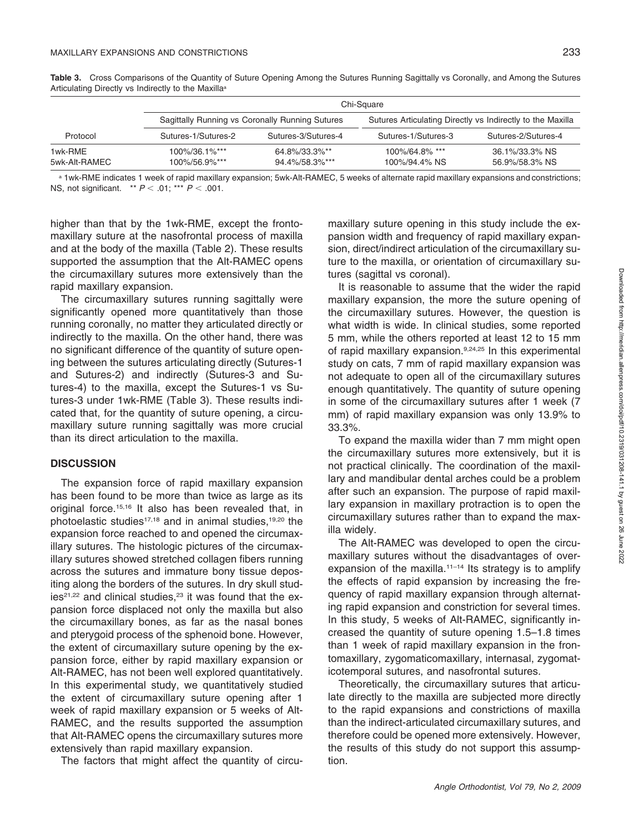|                          | Chi-Square                     |                                                 |                                                            |                                  |  |
|--------------------------|--------------------------------|-------------------------------------------------|------------------------------------------------------------|----------------------------------|--|
|                          |                                | Sagittally Running vs Coronally Running Sutures | Sutures Articulating Directly vs Indirectly to the Maxilla |                                  |  |
| Protocol                 | Sutures-1/Sutures-2            | Sutures-3/Sutures-4                             | Sutures-1/Sutures-3                                        | Sutures-2/Sutures-4              |  |
| 1wk-RME<br>5wk-Alt-RAMEC | 100%/36.1%***<br>100%/56.9%*** | 64.8%/33.3%**<br>94.4%/58.3%***                 | 100%/64.8% ***<br>100%/94.4% NS                            | 36.1%/33.3% NS<br>56.9%/58.3% NS |  |

**Table 3.** Cross Comparisons of the Quantity of Suture Opening Among the Sutures Running Sagittally vs Coronally, and Among the Sutures Articulating Directly vs Indirectly to the Maxillaa

a 1wk-RME indicates 1 week of rapid maxillary expansion; 5wk-Alt-RAMEC, 5 weeks of alternate rapid maxillary expansions and constrictions; NS, not significant. \*\*  $P$  < .01; \*\*\*  $P$  < .001.

higher than that by the 1wk-RME, except the frontomaxillary suture at the nasofrontal process of maxilla and at the body of the maxilla (Table 2). These results supported the assumption that the Alt-RAMEC opens the circumaxillary sutures more extensively than the rapid maxillary expansion.

The circumaxillary sutures running sagittally were significantly opened more quantitatively than those running coronally, no matter they articulated directly or indirectly to the maxilla. On the other hand, there was no significant difference of the quantity of suture opening between the sutures articulating directly (Sutures-1 and Sutures-2) and indirectly (Sutures-3 and Sutures-4) to the maxilla, except the Sutures-1 vs Sutures-3 under 1wk-RME (Table 3). These results indicated that, for the quantity of suture opening, a circumaxillary suture running sagittally was more crucial than its direct articulation to the maxilla.

#### **DISCUSSION**

The expansion force of rapid maxillary expansion has been found to be more than twice as large as its original force.15,16 It also has been revealed that, in photoelastic studies<sup>17,18</sup> and in animal studies,<sup>19,20</sup> the expansion force reached to and opened the circumaxillary sutures. The histologic pictures of the circumaxillary sutures showed stretched collagen fibers running across the sutures and immature bony tissue depositing along the borders of the sutures. In dry skull stud $ies<sup>21,22</sup>$  and clinical studies, $23$  it was found that the expansion force displaced not only the maxilla but also the circumaxillary bones, as far as the nasal bones and pterygoid process of the sphenoid bone. However, the extent of circumaxillary suture opening by the expansion force, either by rapid maxillary expansion or Alt-RAMEC, has not been well explored quantitatively. In this experimental study, we quantitatively studied the extent of circumaxillary suture opening after 1 week of rapid maxillary expansion or 5 weeks of Alt-RAMEC, and the results supported the assumption that Alt-RAMEC opens the circumaxillary sutures more extensively than rapid maxillary expansion.

The factors that might affect the quantity of circu-

maxillary suture opening in this study include the expansion width and frequency of rapid maxillary expansion, direct/indirect articulation of the circumaxillary suture to the maxilla, or orientation of circumaxillary sutures (sagittal vs coronal).

It is reasonable to assume that the wider the rapid maxillary expansion, the more the suture opening of the circumaxillary sutures. However, the question is what width is wide. In clinical studies, some reported 5 mm, while the others reported at least 12 to 15 mm of rapid maxillary expansion.<sup>9,24,25</sup> In this experimental study on cats, 7 mm of rapid maxillary expansion was not adequate to open all of the circumaxillary sutures enough quantitatively. The quantity of suture opening in some of the circumaxillary sutures after 1 week (7 mm) of rapid maxillary expansion was only 13.9% to 33.3%.

To expand the maxilla wider than 7 mm might open the circumaxillary sutures more extensively, but it is not practical clinically. The coordination of the maxillary and mandibular dental arches could be a problem after such an expansion. The purpose of rapid maxillary expansion in maxillary protraction is to open the circumaxillary sutures rather than to expand the maxilla widely.

The Alt-RAMEC was developed to open the circumaxillary sutures without the disadvantages of overexpansion of the maxilla.<sup>11-14</sup> Its strategy is to amplify the effects of rapid expansion by increasing the frequency of rapid maxillary expansion through alternating rapid expansion and constriction for several times. In this study, 5 weeks of Alt-RAMEC, significantly increased the quantity of suture opening 1.5–1.8 times than 1 week of rapid maxillary expansion in the frontomaxillary, zygomaticomaxillary, internasal, zygomaticotemporal sutures, and nasofrontal sutures.

Theoretically, the circumaxillary sutures that articulate directly to the maxilla are subjected more directly to the rapid expansions and constrictions of maxilla than the indirect-articulated circumaxillary sutures, and therefore could be opened more extensively. However, the results of this study do not support this assumption.